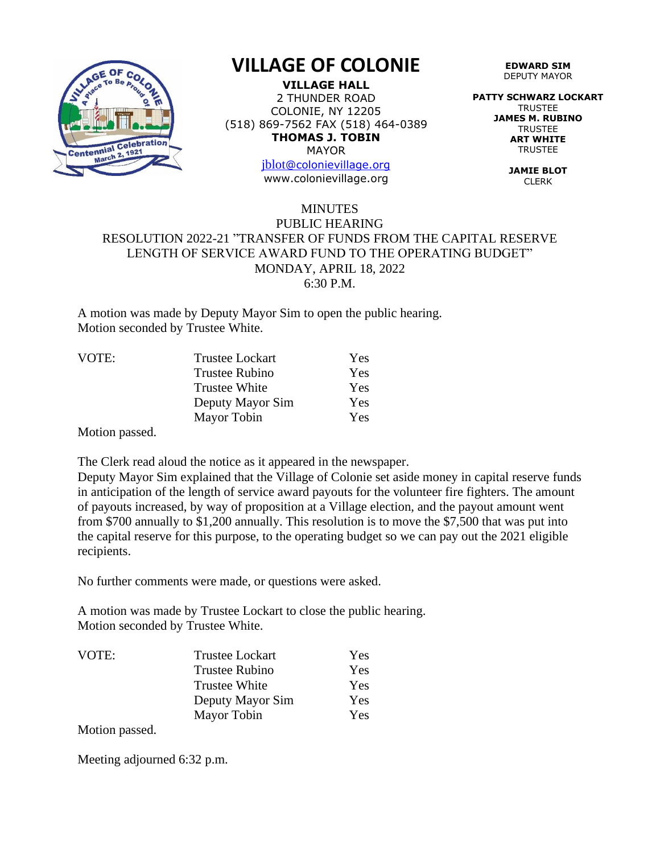

## **VILLAGE OF COLONIE**

**VILLAGE HALL** 2 THUNDER ROAD COLONIE, NY 12205 (518) 869-7562 FAX (518) 464-0389 **THOMAS J. TOBIN** MAYOR

> [jblot](mailto:jblot@colonievillage.org)[@colonievillage.org](mailto:jblot@colonievillage.org) www.colonievillage.org

**EDWARD SIM** DEPUTY MAYOR

**PATTY SCHWARZ LOCKART** TRUSTEE **JAMES M. RUBINO TRUSTEE ART WHITE TRUSTEE** 

> **JAMIE BLOT** CLERK

## MINUTES PUBLIC HEARING RESOLUTION 2022-21 "TRANSFER OF FUNDS FROM THE CAPITAL RESERVE LENGTH OF SERVICE AWARD FUND TO THE OPERATING BUDGET" MONDAY, APRIL 18, 2022 6:30 P.M.

A motion was made by Deputy Mayor Sim to open the public hearing. Motion seconded by Trustee White.

| <b>Trustee Lockart</b> | <b>Yes</b> |
|------------------------|------------|
| <b>Trustee Rubino</b>  | Yes        |
| <b>Trustee White</b>   | Yes        |
| Deputy Mayor Sim       | Yes        |
| Mayor Tobin            | <b>Yes</b> |
|                        |            |

Motion passed.

The Clerk read aloud the notice as it appeared in the newspaper.

Deputy Mayor Sim explained that the Village of Colonie set aside money in capital reserve funds in anticipation of the length of service award payouts for the volunteer fire fighters. The amount of payouts increased, by way of proposition at a Village election, and the payout amount went from \$700 annually to \$1,200 annually. This resolution is to move the \$7,500 that was put into the capital reserve for this purpose, to the operating budget so we can pay out the 2021 eligible recipients.

No further comments were made, or questions were asked.

A motion was made by Trustee Lockart to close the public hearing. Motion seconded by Trustee White.

| VOTE: | <b>Trustee Lockart</b> | Yes |
|-------|------------------------|-----|
|       | <b>Trustee Rubino</b>  | Yes |
|       | <b>Trustee White</b>   | Yes |
|       | Deputy Mayor Sim       | Yes |
|       | Mayor Tobin            | Yes |

Motion passed.

Meeting adjourned 6:32 p.m.